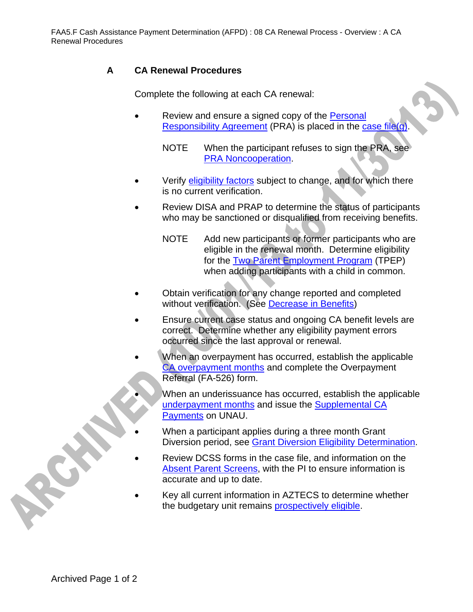## **A CA Renewal Procedures**

Complete the following at each CA renewal:

- Review and ensure a signed copy of the Personal Responsibility Agreement (PRA) is placed in the case file(g)
	- NOTE When the participant refuses to sign the PRA, see PRA Noncooperation.
- Verify eligibility factors subject to change, and for which there is no current verification.
- Review DISA and PRAP to determine the status of participants who may be sanctioned or disqualified from receiving benefits.
	- NOTE Add new participants or former participants who are eligible in the renewal month. Determine eligibility for the Two Parent Employment Program (TPEP) when adding participants with a child in common.
- Obtain verification for any change reported and completed without verification. (See Decrease in Benefits)
- Ensure current case status and ongoing CA benefit levels are correct. Determine whether any eligibility payment errors occurred since the last approval or renewal.
- When an overpayment has occurred, establish the applicable CA overpayment months and complete the Overpayment Referral (FA-526) form.
	- When an underissuance has occurred, establish the applicable underpayment months and issue the Supplemental CA Payments on UNAU.
	- When a participant applies during a three month Grant Diversion period, see Grant Diversion Eligibility Determination.
- Review DCSS forms in the case file, and information on the Absent Parent Screens, with the PI to ensure information is accurate and up to date.
- Key all current information in AZTECS to determine whether the budgetary unit remains prospectively eligible.